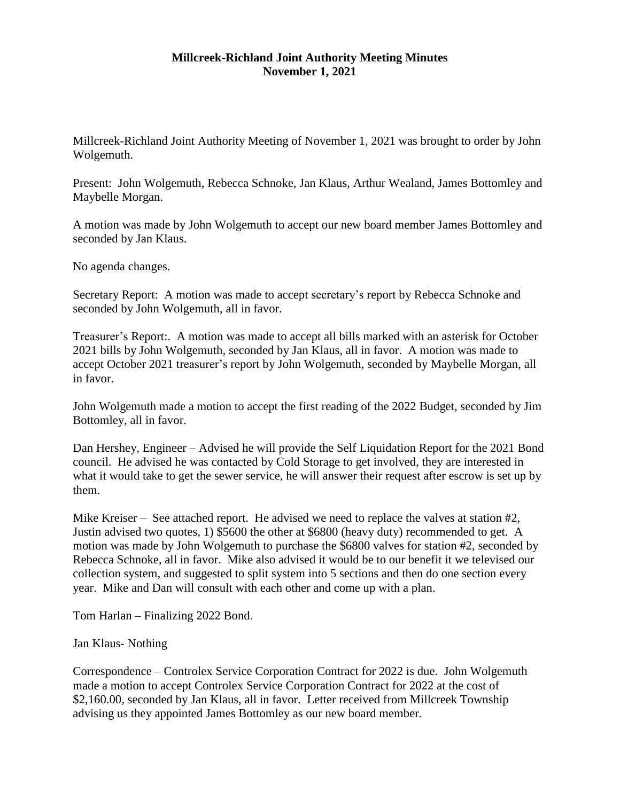## **Millcreek-Richland Joint Authority Meeting Minutes November 1, 2021**

Millcreek-Richland Joint Authority Meeting of November 1, 2021 was brought to order by John Wolgemuth.

Present: John Wolgemuth, Rebecca Schnoke, Jan Klaus, Arthur Wealand, James Bottomley and Maybelle Morgan.

A motion was made by John Wolgemuth to accept our new board member James Bottomley and seconded by Jan Klaus.

No agenda changes.

Secretary Report: A motion was made to accept secretary's report by Rebecca Schnoke and seconded by John Wolgemuth, all in favor.

Treasurer's Report:. A motion was made to accept all bills marked with an asterisk for October 2021 bills by John Wolgemuth, seconded by Jan Klaus, all in favor. A motion was made to accept October 2021 treasurer's report by John Wolgemuth, seconded by Maybelle Morgan, all in favor.

John Wolgemuth made a motion to accept the first reading of the 2022 Budget, seconded by Jim Bottomley, all in favor.

Dan Hershey, Engineer – Advised he will provide the Self Liquidation Report for the 2021 Bond council. He advised he was contacted by Cold Storage to get involved, they are interested in what it would take to get the sewer service, he will answer their request after escrow is set up by them.

Mike Kreiser – See attached report. He advised we need to replace the valves at station #2, Justin advised two quotes, 1) \$5600 the other at \$6800 (heavy duty) recommended to get. A motion was made by John Wolgemuth to purchase the \$6800 valves for station #2, seconded by Rebecca Schnoke, all in favor. Mike also advised it would be to our benefit it we televised our collection system, and suggested to split system into 5 sections and then do one section every year. Mike and Dan will consult with each other and come up with a plan.

Tom Harlan – Finalizing 2022 Bond.

Jan Klaus- Nothing

Correspondence – Controlex Service Corporation Contract for 2022 is due. John Wolgemuth made a motion to accept Controlex Service Corporation Contract for 2022 at the cost of \$2,160.00, seconded by Jan Klaus, all in favor. Letter received from Millcreek Township advising us they appointed James Bottomley as our new board member.